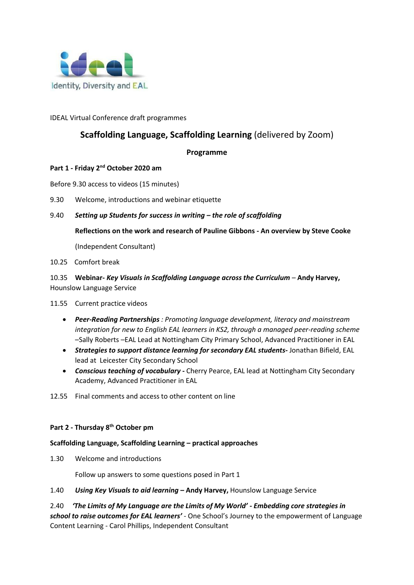

## IDEAL Virtual Conference draft programmes

# **Scaffolding Language, Scaffolding Learning** (delivered by Zoom)

### **Programme**

## **Part 1 - Friday 2nd October 2020 am**

Before 9.30 access to videos (15 minutes)

9.30 Welcome, introductions and webinar etiquette

## 9.40 *Setting up Students for success in writing – the role of scaffolding*

**Reflections on the work and research of Pauline Gibbons - An overview by Steve Cooke** 

(Independent Consultant)

10.25 Comfort break

10.35 **Webinar-** *Key Visuals in Scaffolding Language across the Curriculum –* **Andy Harvey,**  Hounslow Language Service

11.55 Current practice videos

- *Peer-Reading Partnerships : Promoting language development, literacy and mainstream integration for new to English EAL learners in KS2, through a managed peer-reading scheme* –Sally Roberts –EAL Lead at Nottingham City Primary School, Advanced Practitioner in EAL
- *Strategies to support distance learning for secondary EAL students-* Jonathan Bifield, EAL lead at Leicester City Secondary School
- *Conscious teaching of vocabulary* **-** Cherry Pearce, EAL lead at Nottingham City Secondary Academy, Advanced Practitioner in EAL
- 12.55 Final comments and access to other content on line

## **Part 2 - Thursday 8th October pm**

### **Scaffolding Language, Scaffolding Learning – practical approaches**

1.30 Welcome and introductions

Follow up answers to some questions posed in Part 1

1.40 *Using Key Visuals to aid learning* **– Andy Harvey,** Hounslow Language Service

2.40 *'The Limits of My Language are the Limits of My World' - Embedding core strategies in school to raise outcomes for EAL learners'* - One School's Journey to the empowerment of Language Content Learning - Carol Phillips, Independent Consultant